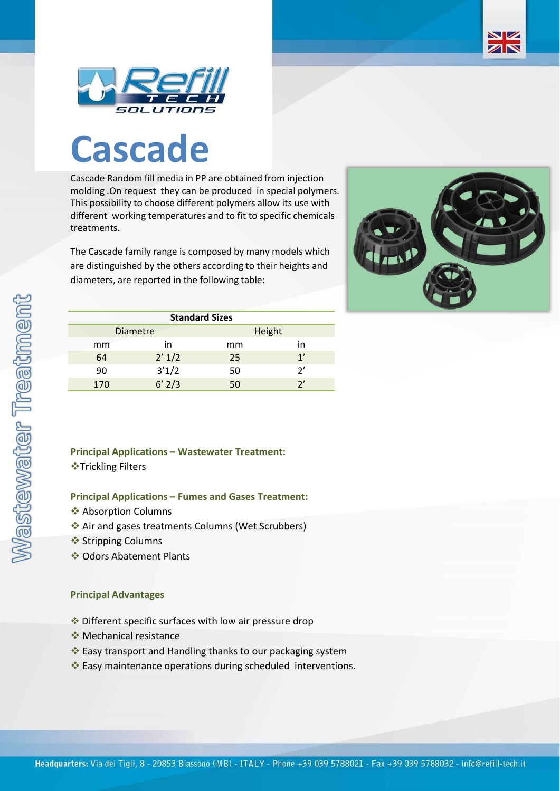

## **Cascade**

Cascade Random fill media in PP are obtained from injection molding .On request they can be produced in special polymers. This possibility to choose different polymers allow its use with different working temperatures and to fit to specific chemicals treatments.

The Cascade family range is composed by many models which are distinguished by the others according to their heights and diameters, are reported in the following table:



NZ ZN

| <b>Standard Sizes</b> |     |                 |        |    |  |  |  |  |
|-----------------------|-----|-----------------|--------|----|--|--|--|--|
|                       |     | <b>Diametre</b> | Height |    |  |  |  |  |
|                       | mm  | ın              | mm     | in |  |  |  |  |
|                       | 64  | 2' 1/2          | 25     | 1' |  |  |  |  |
|                       | 90  | 3'1/2           | 50     | フ  |  |  |  |  |
|                       | 170 | $6'$ 2/3        |        |    |  |  |  |  |

## **Principal Applications – Wastewater Treatment:** ❖Trickling Filters

## **Principal Applications – Fumes and Gases Treatment:**

- ❖ Absorption Columns
- ❖ Air and gases treatments Columns (Wet Scrubbers)
- ❖ Stripping Columns
- ❖ Odors Abatement Plants

## **Principal Advantages**

- ❖ Different specific surfaces with low air pressure drop
- ❖ Mechanical resistance
- ❖ Easy transport and Handling thanks to our packaging system
- ❖ Easy maintenance operations during scheduled interventions.